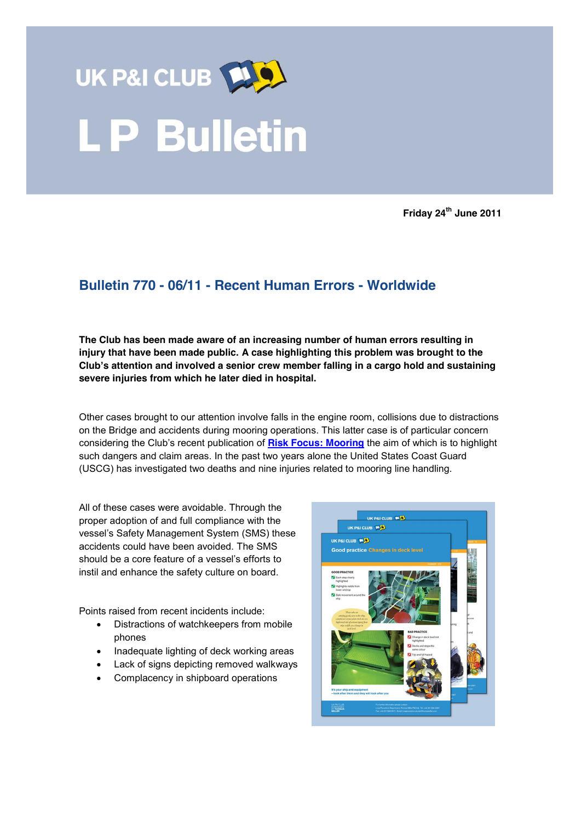

**Friday 24th June 2011**

## **Bulletin 770 - 06/11 - Recent Human Errors - Worldwide**

**The Club has been made aware of an increasing number of human errors resulting in injury that have been made public. A case highlighting this problem was brought to the Club's attention and involved a senior crew member falling in a cargo hold and sustaining severe injuries from which he later died in hospital.** 

Other cases brought to our attention involve falls in the engine room, collisions due to distractions on the Bridge and accidents during mooring operations. This latter case is of particular concern considering the Club's recent publication of **Risk Focus: [Mooring](http://www.ukpandi.com/fileadmin/uploads/uk-pi/LP%20Documents/LP_Reports/Mooring%20web%20version.pdf)** the aim of which is to highlight such dangers and claim areas. In the past two years alone the United States Coast Guard (USCG) has investigated two deaths and nine injuries related to mooring line handling.

All of these cases were avoidable. Through the proper adoption of and full compliance with the vessel's Safety Management System (SMS) these accidents could have been avoided. The SMS should be a core feature of a vessel's efforts to instil and enhance the safety culture on board.

Points raised from recent incidents include:

- Distractions of watchkeepers from mobile phones
- Inadequate lighting of deck working areas
- Lack of signs depicting removed walkways
- Complacency in shipboard operations